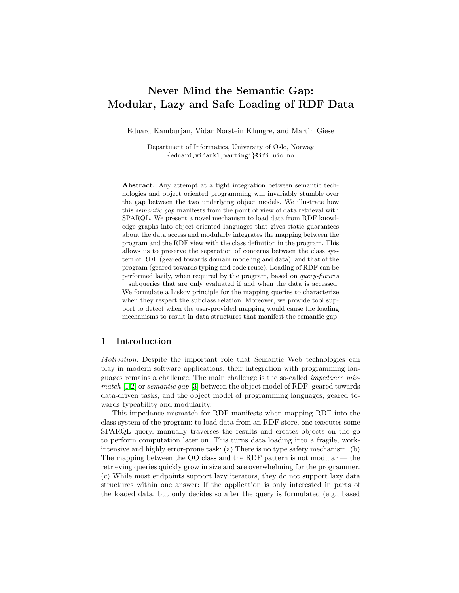# Never Mind the Semantic Gap: Modular, Lazy and Safe Loading of RDF Data

Eduard Kamburjan, Vidar Norstein Klungre, and Martin Giese

Department of Informatics, University of Oslo, Norway {eduard,vidarkl,martingi}@ifi.uio.no

Abstract. Any attempt at a tight integration between semantic technologies and object oriented programming will invariably stumble over the gap between the two underlying object models. We illustrate how this semantic gap manifests from the point of view of data retrieval with SPARQL. We present a novel mechanism to load data from RDF knowledge graphs into object-oriented languages that gives static guarantees about the data access and modularly integrates the mapping between the program and the RDF view with the class definition in the program. This allows us to preserve the separation of concerns between the class system of RDF (geared towards domain modeling and data), and that of the program (geared towards typing and code reuse). Loading of RDF can be performed lazily, when required by the program, based on query-futures – subqueries that are only evaluated if and when the data is accessed. We formulate a Liskov principle for the mapping queries to characterize when they respect the subclass relation. Moreover, we provide tool support to detect when the user-provided mapping would cause the loading mechanisms to result in data structures that manifest the semantic gap.

# 1 Introduction

Motivation. Despite the important role that Semantic Web technologies can play in modern software applications, their integration with programming languages remains a challenge. The main challenge is the so-called impedance mismatch [\[1,](#page-15-0)[2\]](#page-15-1) or semantic gap [\[3\]](#page-15-2) between the object model of RDF, geared towards data-driven tasks, and the object model of programming languages, geared towards typeability and modularity.

This impedance mismatch for RDF manifests when mapping RDF into the class system of the program: to load data from an RDF store, one executes some SPARQL query, manually traverses the results and creates objects on the go to perform computation later on. This turns data loading into a fragile, workintensive and highly error-prone task: (a) There is no type safety mechanism. (b) The mapping between the OO class and the RDF pattern is not modular — the retrieving queries quickly grow in size and are overwhelming for the programmer. (c) While most endpoints support lazy iterators, they do not support lazy data structures within one answer: If the application is only interested in parts of the loaded data, but only decides so after the query is formulated (e.g., based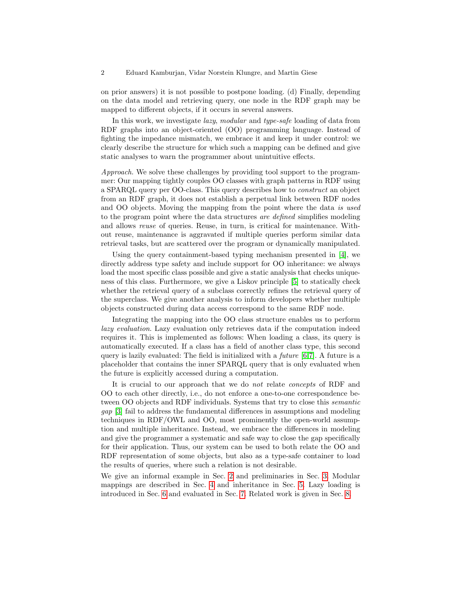on prior answers) it is not possible to postpone loading. (d) Finally, depending on the data model and retrieving query, one node in the RDF graph may be mapped to different objects, if it occurs in several answers.

In this work, we investigate *lazy, modular* and *type-safe* loading of data from RDF graphs into an object-oriented (OO) programming language. Instead of fighting the impedance mismatch, we embrace it and keep it under control: we clearly describe the structure for which such a mapping can be defined and give static analyses to warn the programmer about unintuitive effects.

Approach. We solve these challenges by providing tool support to the programmer: Our mapping tightly couples OO classes with graph patterns in RDF using a SPARQL query per OO-class. This query describes how to construct an object from an RDF graph, it does not establish a perpetual link between RDF nodes and OO objects. Moving the mapping from the point where the data is used to the program point where the data structures are defined simplifies modeling and allows reuse of queries. Reuse, in turn, is critical for maintenance. Without reuse, maintenance is aggravated if multiple queries perform similar data retrieval tasks, but are scattered over the program or dynamically manipulated.

Using the query containment-based typing mechanism presented in [\[4\]](#page-15-3), we directly address type safety and include support for OO inheritance: we always load the most specific class possible and give a static analysis that checks uniqueness of this class. Furthermore, we give a Liskov principle [\[5\]](#page-15-4) to statically check whether the retrieval query of a subclass correctly refines the retrieval query of the superclass. We give another analysis to inform developers whether multiple objects constructed during data access correspond to the same RDF node.

Integrating the mapping into the OO class structure enables us to perform lazy evaluation. Lazy evaluation only retrieves data if the computation indeed requires it. This is implemented as follows: When loading a class, its query is automatically executed. If a class has a field of another class type, this second query is lazily evaluated: The field is initialized with a *future*  $[6,7]$  $[6,7]$ . A future is a placeholder that contains the inner SPARQL query that is only evaluated when the future is explicitly accessed during a computation.

It is crucial to our approach that we do not relate concepts of RDF and OO to each other directly, i.e., do not enforce a one-to-one correspondence between OO objects and RDF individuals. Systems that try to close this semantic gap [\[3\]](#page-15-2) fail to address the fundamental differences in assumptions and modeling techniques in RDF/OWL and OO, most prominently the open-world assumption and multiple inheritance. Instead, we embrace the differences in modeling and give the programmer a systematic and safe way to close the gap specifically for their application. Thus, our system can be used to both relate the OO and RDF representation of some objects, but also as a type-safe container to load the results of queries, where such a relation is not desirable.

We give an informal example in Sec. [2](#page-2-0) and preliminaries in Sec. [3.](#page-3-0) Modular mappings are described in Sec. [4](#page-5-0) and inheritance in Sec. [5.](#page-8-0) Lazy loading is introduced in Sec. [6](#page-10-0) and evaluated in Sec. [7.](#page-12-0) Related work is given in Sec. [8.](#page-13-0)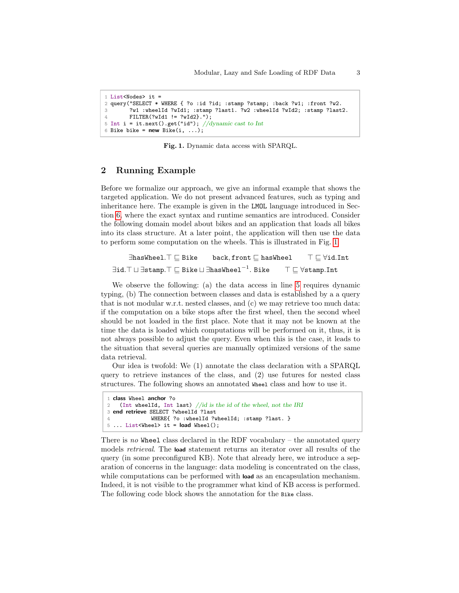```
1 List<Nodes> it =
2 query("SELECT * WHERE { ?o :id ?id; :stamp ?stamp; :back ?w1; :front ?w2.
3 ?w1 :wheelId ?wId1; :stamp ?last1. ?w2 :wheelId ?wId2; :stamp ?last2.
4 FILTER(?wId1 != ?wId2}.");
5 Int i = it.next().get("id"); // dynamic cast to Int6 Bike bike = new Bike(i, \ldots);
```
<span id="page-2-1"></span>Fig. 1. Dynamic data access with SPARQL.

# <span id="page-2-0"></span>2 Running Example

Before we formalize our approach, we give an informal example that shows the targeted application. We do not present advanced features, such as typing and inheritance here. The example is given in the LMOL language introduced in Section [6,](#page-10-0) where the exact syntax and runtime semantics are introduced. Consider the following domain model about bikes and an application that loads all bikes into its class structure. At a later point, the application will then use the data to perform some computation on the wheels. This is illustrated in Fig. [1](#page-2-1)

```
\existshasWheel.\top \sqsubseteq Bike back, front \sqsubseteq hasWheel \top \sqsubseteq \forallid.Int
\existsid.\top \sqcup \existsstamp.\top \sqsubseteq Bike \sqcup \existshasWheel<sup>-1</sup>. Bike
                                                                                             \top \sqsubseteq \forallstamp.Int
```
We observe the following: (a) the data access in line [5](#page-2-2) requires dynamic typing, (b) The connection between classes and data is established by a a query that is not modular w.r.t. nested classes, and (c) we may retrieve too much data: if the computation on a bike stops after the first wheel, then the second wheel should be not loaded in the first place. Note that it may not be known at the time the data is loaded which computations will be performed on it, thus, it is not always possible to adjust the query. Even when this is the case, it leads to the situation that several queries are manually optimized versions of the same data retrieval.

Our idea is twofold: We (1) annotate the class declaration with a SPARQL query to retrieve instances of the class, and (2) use futures for nested class structures. The following shows an annotated Wheel class and how to use it.

```
1 class Wheel anchor ?o
2 (Int wheelId, Int last) //id is the id of the wheel, not the IRI
3 end retrieve SELECT ?wheelId ?last
              WHERE{ ?o :wheelId ?wheelId; :stamp ?last. }
5 \ldots List<Wheel> it = load Wheel();
```
There is no Wheel class declared in the RDF vocabulary – the annotated query models retrieval. The load statement returns an iterator over all results of the query (in some preconfigured KB). Note that already here, we introduce a separation of concerns in the language: data modeling is concentrated on the class, while computations can be performed with **load** as an encapsulation mechanism. Indeed, it is not visible to the programmer what kind of KB access is performed. The following code block shows the annotation for the Bike class.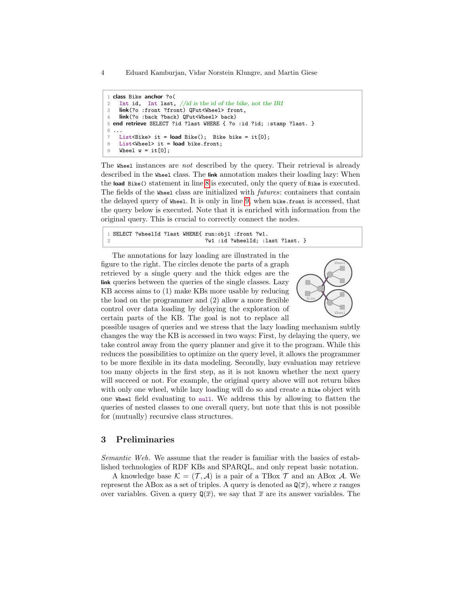4 Eduard Kamburjan, Vidar Norstein Klungre, and Martin Giese

```
1 class Bike anchor ?o(
2 Int id, Int last, //id is the id of the bike, not the IRI
3 link(?o :front ?front) QFut<Wheel> front,
4 link(?o :back ?back) QFut<Wheel> back)
5 end retrieve SELECT ?id ?last WHERE { ?o :id ?id; :stamp ?last. }
6 ...
7 List <br/>Shike> it = load Bike(); Bike bike = it[0]; List <Wheel> it = load bike.front;
8 List < Wheel > it = load bike.front;<br>9 Wheel w = it[0]:
    Wheel w = it[0];
```
<span id="page-3-2"></span><span id="page-3-1"></span>The Wheel instances are not described by the query. Their retrieval is already described in the Wheel class. The link annotation makes their loading lazy: When the load Bike() statement in line [8](#page-3-1) is executed, only the query of Bike is executed. The fields of the Wheel class are initialized with *futures*: containers that contain the delayed query of Wheel. It is only in line [9,](#page-3-2) when bike.front is accessed, that the query below is executed. Note that it is enriched with information from the original query. This is crucial to correctly connect the nodes.

1 SELECT ?wheelId ?last WHERE{ run:obj1 :front ?w1. 2 ?w1 :id ?wheelId; :last ?last. }

The annotations for lazy loading are illustrated in the figure to the right. The circles denote the parts of a graph retrieved by a single query and the thick edges are the link queries between the queries of the single classes. Lazy KB access aims to (1) make KBs more usable by reducing the load on the programmer and (2) allow a more flexible control over data loading by delaying the exploration of certain parts of the KB. The goal is not to replace all



possible usages of queries and we stress that the lazy loading mechanism subtly changes the way the KB is accessed in two ways: First, by delaying the query, we take control away from the query planner and give it to the program. While this reduces the possibilities to optimize on the query level, it allows the programmer to be more flexible in its data modeling. Secondly, lazy evaluation may retrieve too many objects in the first step, as it is not known whether the next query will succeed or not. For example, the original query above will not return bikes with only one wheel, while lazy loading will do so and create a Bike object with one Wheel field evaluating to null. We address this by allowing to flatten the queries of nested classes to one overall query, but note that this is not possible for (mutually) recursive class structures.

# <span id="page-3-0"></span>3 Preliminaries

Semantic Web. We assume that the reader is familiar with the basics of established technologies of RDF KBs and SPARQL, and only repeat basic notation.

A knowledge base  $\mathcal{K} = (\mathcal{T}, \mathcal{A})$  is a pair of a TBox  $\mathcal{T}$  and an ABox  $\mathcal{A}$ . We represent the ABox as a set of triples. A query is denoted as  $\mathbb{Q}(\overline{x})$ , where x ranges over variables. Given a query  $\mathbb{Q}(\overline{x})$ , we say that  $\overline{x}$  are its answer variables. The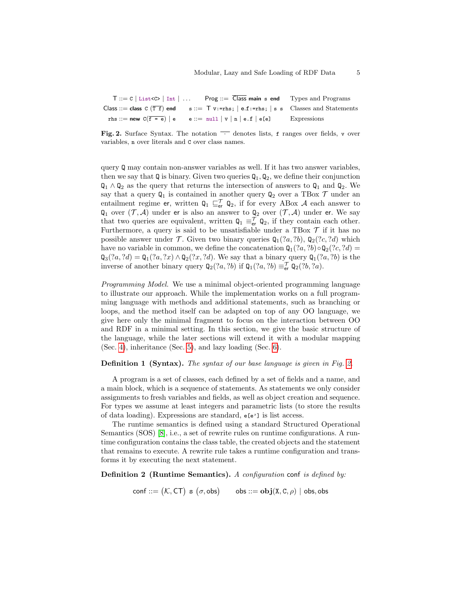| $T ::= C   List < C >   Int   $ | Prog $:=$ Class main s end Types and Programs                                                               |             |
|---------------------------------|-------------------------------------------------------------------------------------------------------------|-------------|
|                                 | Class ::= class $C(\overline{T} \overline{f})$ end s ::= T v:=rhs;   e.f:=rhs;   s s Classes and Statements |             |
|                                 | rhs ::= new $C(\overline{f} = e)$   e e ::= null   v   n   e.f   e[e]                                       | Expressions |

<span id="page-4-0"></span>Fig. 2. Surface Syntax. The notation  $\overline{\phantom{a}}$  denotes lists, f ranges over fields, v over variables, n over literals and C over class names.

query Q may contain non-answer variables as well. If it has two answer variables, then we say that  $\mathbb Q$  is binary. Given two queries  $\mathbb Q_1, \mathbb Q_2$ , we define their conjunction  $Q_1 \wedge Q_2$  as the query that returns the intersection of answers to  $Q_1$  and  $Q_2$ . We say that a query  $Q_1$  is contained in another query  $Q_2$  over a TBox  $\mathcal T$  under an entailment regime er, written  $Q_1 \sqsubseteq_{er}^{\mathcal{T}} Q_2$ , if for every ABox A each answer to  $Q_1$  over  $(\mathcal{T}, \mathcal{A})$  under er is also an answer to  $Q_2$  over  $(\mathcal{T}, \mathcal{A})$  under er. We say that two queries are equivalent, written  $Q_1 \equiv_{\mathsf{er}}^{\mathcal{T}} Q_2$ , if they contain each other. Furthermore, a query is said to be unsatisfiable under a TBox  $\mathcal T$  if it has no possible answer under  $\mathcal T$ . Given two binary queries  $\mathbb Q_1(2a, 2b)$ ,  $\mathbb Q_2(2c, 2d)$  which have no variable in common, we define the concatenation  $\mathbf{Q}_1(2a, 2b) \circ \mathbf{Q}_2(2c, 2d) =$  $Q_3(2a, 2d) = Q_1(2a, 2x) \wedge Q_2(2x, 2d)$ . We say that a binary query  $Q_1(2a, 2b)$  is the inverse of another binary query  $\mathbb{Q}_2(2a, 2b)$  if  $\mathbb{Q}_1(2a, 2b) \equiv_{\text{er}}^{\mathcal{T}} \mathbb{Q}_2(2b, 2a)$ .

Programming Model. We use a minimal object-oriented programming language to illustrate our approach. While the implementation works on a full programming language with methods and additional statements, such as branching or loops, and the method itself can be adapted on top of any OO language, we give here only the minimal fragment to focus on the interaction between OO and RDF in a minimal setting. In this section, we give the basic structure of the language, while the later sections will extend it with a modular mapping (Sec. [4\)](#page-5-0), inheritance (Sec. [5\)](#page-8-0), and lazy loading (Sec. [6\)](#page-10-0).

#### <span id="page-4-1"></span>Definition 1 (Syntax). The syntax of our base language is given in Fig. [2.](#page-4-0)

A program is a set of classes, each defined by a set of fields and a name, and a main block, which is a sequence of statements. As statements we only consider assignments to fresh variables and fields, as well as object creation and sequence. For types we assume at least integers and parametric lists (to store the results of data loading). Expressions are standard, e[e'] is list access.

The runtime semantics is defined using a standard Structured Operational Semantics (SOS) [\[8\]](#page-15-7), i.e., a set of rewrite rules on runtime configurations. A runtime configuration contains the class table, the created objects and the statement that remains to execute. A rewrite rule takes a runtime configuration and transforms it by executing the next statement.

Definition 2 (Runtime Semantics). A configuration conf is defined by:

<span id="page-4-2"></span> $\mathsf{conf} ::= (\mathcal{K}, \mathsf{CT}) \, \, \mathbf{s} \, \, (\sigma, \mathsf{obs}) \qquad \mathsf{obs} ::= \mathbf{obj}(\mathtt{X}, \mathtt{C}, \rho) \, \, | \, \, \mathsf{obs}, \mathsf{obs}$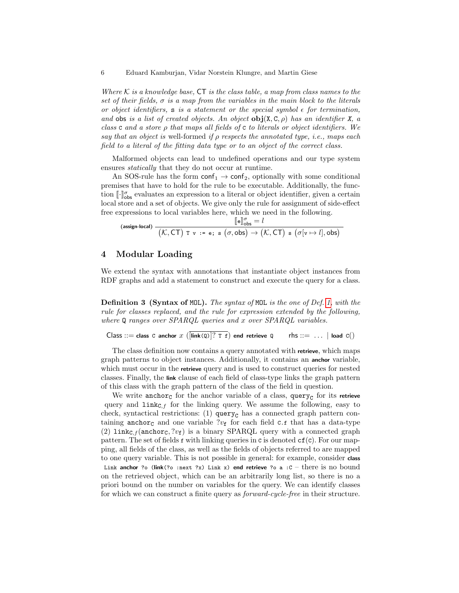Where K is a knowledge base,  $CT$  is the class table, a map from class names to the set of their fields,  $\sigma$  is a map from the variables in the main block to the literals or object identifiers,  $s$  is a statement or the special symbol  $\epsilon$  for termination, and obs is a list of created objects. An object  $obj(X, C, \rho)$  has an identifier X, a class c and a store  $\rho$  that maps all fields of c to literals or object identifiers. We say that an object is well-formed if  $\rho$  respects the annotated type, i.e., maps each field to a literal of the fitting data type or to an object of the correct class.

Malformed objects can lead to undefined operations and our type system ensures statically that they do not occur at runtime.

An SOS-rule has the form  $\text{conf}_1 \to \text{conf}_2$ , optionally with some conditional premises that have to hold for the rule to be executable. Additionally, the function  $\llbracket \cdot \rrbracket_{obs}^{\sigma}$  evaluates an expression to a literal or object identifier, given a certain local store and a set of objects. We give only the rule for assignment of side offert local store and a set of objects. We give only the rule for assignment of side-effect free expressions to local variables here, which we need in the following.

$$
\text{(assign-local)} \ \frac{\llbracket\mathbf{e}\rrbracket_{\text{obs}}^{\sigma} = l}{\big(\mathcal{K}, \text{CT}\big) \ \text{T} \ \text{v} \ := \ \mathbf{e}; \ \mathbf{s} \ \big(\sigma, \text{obs}\big) \to \big(\mathcal{K}, \text{CT}\big) \ \mathbf{s} \ \big(\sigma[\mathbf{v} \mapsto l], \text{obs}\big)}
$$

### <span id="page-5-0"></span>4 Modular Loading

<span id="page-5-1"></span>We extend the syntax with annotations that instantiate object instances from RDF graphs and add a statement to construct and execute the query for a class.

Definition 3 (Syntax of MOL). The syntax of MOL is the one of Def. [1,](#page-4-1) with the rule for classes replaced, and the rule for expression extended by the following, where Q ranges over SPARQL queries and x over SPARQL variables.

Class ::= class C anchor 
$$
x ([link(Q)]^2 T f)
$$
 end retrieve Q  $rhs ::= ... | load C()$ 

The class definition now contains a query annotated with retrieve, which maps graph patterns to object instances. Additionally, it contains an anchor variable, which must occur in the retrieve query and is used to construct queries for nested classes. Finally, the link clause of each field of class-type links the graph pattern of this class with the graph pattern of the class of the field in question.

We write  $\mathsf{anchor}_\mathsf{C}$  for the anchor variable of a class,  $\mathsf{query}_\mathsf{C}$  for its retrieve query and  $\text{link}_{C,f}$  for the linking query. We assume the following, easy to check, syntactical restrictions: (1)  $query<sub>C</sub>$  has a connected graph pattern containing anchor<sub>C</sub> and one variable  $?v_f$  for each field c.f that has a data-type (2) link<sub>C,f</sub> (anchor<sub>C</sub>, ?v<sub>f</sub>) is a binary SPARQL query with a connected graph pattern. The set of fields  $f$  with linking queries in c is denoted  $cf(c)$ . For our mapping, all fields of the class, as well as the fields of objects referred to are mapped to one query variable. This is not possible in general: for example, consider class Link anchor ?o (link(?o :next ?x) Link x) end retrieve ?o a :C – there is no bound on the retrieved object, which can be an arbitrarily long list, so there is no a priori bound on the number on variables for the query. We can identify classes for which we can construct a finite query as forward-cycle-free in their structure.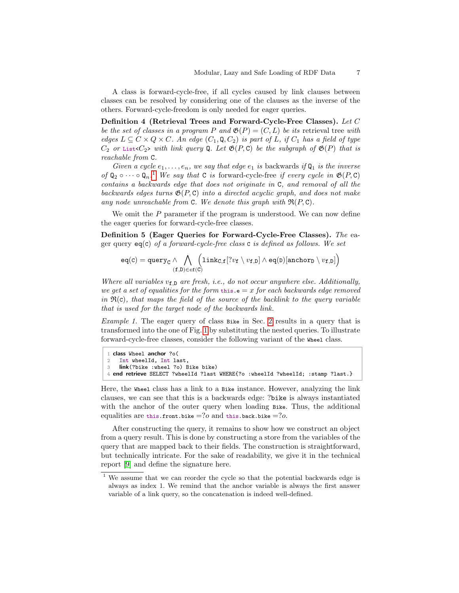A class is forward-cycle-free, if all cycles caused by link clauses between classes can be resolved by considering one of the clauses as the inverse of the others. Forward-cycle-freedom is only needed for eager queries.

Definition 4 (Retrieval Trees and Forward-Cycle-Free Classes). Let C be the set of classes in a program P and  $\mathfrak{G}(P) = (C, L)$  be its retrieval tree with edges  $L \subseteq C \times Q \times C$ . An edge  $(C_1, \mathbb{Q}, C_2)$  is part of L, if  $C_1$  has a field of type  $C_2$  or List  $C_2$  with link query Q. Let  $\mathfrak{G}(P, \mathbb{C})$  be the subgraph of  $\mathfrak{G}(P)$  that is reachable from C.

Given a cycle  $e_1, \ldots, e_n$ , we say that edge  $e_1$  is backwards if  $\mathbb{Q}_1$  is the inverse of  $\mathbb{Q}_2 \circ \cdots \circ \mathbb{Q}_n$ . We say that C is forward-cycle-free if every cycle in  $\mathfrak{G}(P, \mathbb{C})$ contains a backwards edge that does not originate in C, and removal of all the backwards edges turns  $\mathfrak{G}(P, \mathbb{C})$  into a directed acyclic graph, and does not make any node unreachable from C. We denote this graph with  $\mathfrak{R}(P, \mathcal{C})$ .

We omit the  $P$  parameter if the program is understood. We can now define the eager queries for forward-cycle-free classes.

Definition 5 (Eager Queries for Forward-Cycle-Free Classes). The eager query  $eq(c)$  of a forward-cycle-free class c is defined as follows. We set

eq(C) = query<sup>C</sup> ∧ ^ (f,D)∈cf(C) linkC,f[?v<sup>f</sup> \ vf,D] ∧ eq(D)[anchor<sup>D</sup> \ vf,D] 

Where all variables  $v_{f,D}$  are fresh, i.e., do not occur anywhere else. Additionally, we get a set of equalities for the form this. $e = x$  for each backwards edge removed in  $\mathfrak{R}(c)$ , that maps the field of the source of the backlink to the query variable that is used for the target node of the backwards link.

Example 1. The eager query of class Bike in Sec. [2](#page-2-0) results in a query that is transformed into the one of Fig. [1](#page-2-1) by substituting the nested queries. To illustrate forward-cycle-free classes, consider the following variant of the Wheel class.

```
1 class Wheel anchor ?o(
2 Int wheelId, Int last,
3 link(?bike :wheel ?o) Bike bike)
4 end retrieve SELECT ?wheelId ?last WHERE{?o :wheelId ?wheelId; :stamp ?last.}
```
Here, the Wheel class has a link to a Bike instance. However, analyzing the link clauses, we can see that this is a backwards edge: ?bike is always instantiated with the anchor of the outer query when loading Bike. Thus, the additional equalities are this.front.bike  $=$  ?*o* and this.back.bike  $=$  ?*o*.

After constructing the query, it remains to show how we construct an object from a query result. This is done by constructing a store from the variables of the query that are mapped back to their fields. The construction is straightforward, but technically intricate. For the sake of readability, we give it in the technical report [\[9\]](#page-15-8) and define the signature here.

<span id="page-6-0"></span><sup>&</sup>lt;sup>1</sup> We assume that we can reorder the cycle so that the potential backwards edge is always as index 1. We remind that the anchor variable is always the first answer variable of a link query, so the concatenation is indeed well-defined.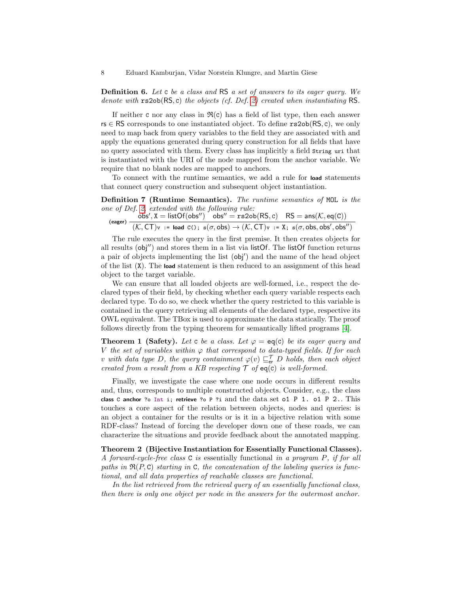Definition 6. Let C be a class and RS a set of answers to its eager query. We denote with  $rs2ob(RS, c)$  the objects (cf. Def. [2\)](#page-4-2) created when instantiating RS.

If neither c nor any class in  $\Re$ (c) has a field of list type, then each answer  $rs \in RS$  corresponds to one instantiated object. To define  $rs2ob(RS, c)$ , we only need to map back from query variables to the field they are associated with and apply the equations generated during query construction for all fields that have no query associated with them. Every class has implicitly a field String uri that is instantiated with the URI of the node mapped from the anchor variable. We require that no blank nodes are mapped to anchors.

To connect with the runtime semantics, we add a rule for load statements that connect query construction and subsequent object instantiation.

Definition 7 (Runtime Semantics). The runtime semantics of MOL is the one of Def. [2,](#page-4-2) extended with the following rule:

 $\frac{\cos^2\theta}{\cos^2\theta}$  (eager)  $\frac{\cos^2\theta}{\cos^2\theta}$  is  $\frac{\cos^2\theta}{\cos^2\theta}$  is  $\frac{\cos^2\theta}{\cos^2\theta}$  is  $\frac{\cos^2\theta}{\cos^2\theta}$  is  $\frac{\cos^2\theta}{\cos^2\theta}$  is  $\frac{\sin^2\theta}{\cos^2\theta}$  is  $\frac{\sin^2\theta}{\cos^2\theta}$  is  $\frac{\sin^2\theta}{\cos^2\theta}$  is  $\frac{\sin^2\theta}{\cos^2\theta}$ 

The rule executes the query in the first premise. It then creates objects for all results  $(obj'')$  and stores them in a list via listOf. The listOf function returns a pair of objects implementing the list (obj') and the name of the head object of the list (X). The load statement is then reduced to an assignment of this head object to the target variable.

We can ensure that all loaded objects are well-formed, i.e., respect the declared types of their field, by checking whether each query variable respects each declared type. To do so, we check whether the query restricted to this variable is contained in the query retrieving all elements of the declared type, respective its OWL equivalent. The TBox is used to approximate the data statically. The proof follows directly from the typing theorem for semantically lifted programs [\[4\]](#page-15-3).

**Theorem 1 (Safety).** Let c be a class. Let  $\varphi = \varphi(c)$  be its eager query and V the set of variables within  $\varphi$  that correspond to data-typed fields. If for each v with data type D, the query containment  $\varphi(v) \sqsubseteq_{\text{er}}^{\mathcal{T}} D$  holds, then each object created from a result from a KB respecting  $\mathcal T$  of eq(c) is well-formed.

Finally, we investigate the case where one node occurs in different results and, thus, corresponds to multiple constructed objects. Consider, e.g., the class class C anchor ?o Int i; retrieve ?o P ?i and the data set o1 P 1. o1 P 2.. This touches a core aspect of the relation between objects, nodes and queries: is an object a container for the results or is it in a bijective relation with some RDF-class? Instead of forcing the developer down one of these roads, we can characterize the situations and provide feedback about the annotated mapping.

<span id="page-7-0"></span>Theorem 2 (Bijective Instantiation for Essentially Functional Classes). A forward-cycle-free class C is essentially functional in a program P, if for all paths in  $\mathfrak{R}(P, \mathsf{C})$  starting in C, the concatenation of the labeling queries is functional, and all data properties of reachable classes are functional.

In the list retrieved from the retrieval query of an essentially functional class, then there is only one object per node in the answers for the outermost anchor.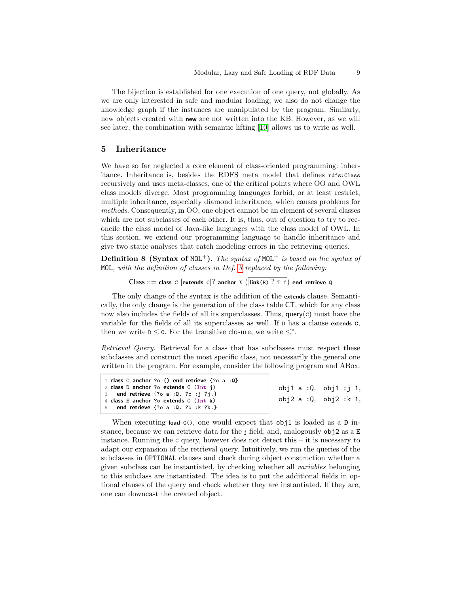The bijection is established for one execution of one query, not globally. As we are only interested in safe and modular loading, we also do not change the knowledge graph if the instances are manipulated by the program. Similarly, new objects created with new are not written into the KB. However, as we will see later, the combination with semantic lifting [\[10\]](#page-15-9) allows us to write as well.

#### <span id="page-8-0"></span>5 Inheritance

We have so far neglected a core element of class-oriented programming: inheritance. Inheritance is, besides the RDFS meta model that defines rdfs:Class recursively and uses meta-classes, one of the critical points where OO and OWL class models diverge. Most programming languages forbid, or at least restrict, multiple inheritance, especially diamond inheritance, which causes problems for methods. Consequently, in OO, one object cannot be an element of several classes which are not subclasses of each other. It is, thus, out of question to try to reconcile the class model of Java-like languages with the class model of OWL. In this section, we extend our programming language to handle inheritance and give two static analyses that catch modeling errors in the retrieving queries.

**Definition 8 (Syntax of MOL**<sup>+</sup>). The syntax of MOL<sup>+</sup> is based on the syntax of MOL, with the definition of classes in Def. [3](#page-5-1) replaced by the following:

<span id="page-8-2"></span>Class ::= class C [extends C]? anchor X  $(\overline{[\text{link(R)}]? T f})$  end retrieve Q

The only change of the syntax is the addition of the extends clause. Semantically, the only change is the generation of the class table CT, which for any class now also includes the fields of all its superclasses. Thus,  $query(c)$  must have the variable for the fields of all its superclasses as well. If D has a clause extends C, then we write  $p \leq c$ . For the transitive closure, we write  $\leq^*$ .

Retrieval Query. Retrieval for a class that has subclasses must respect these subclasses and construct the most specific class, not necessarily the general one written in the program. For example, consider the following program and ABox.

```
1 class C anchor ?o () end retrieve {?o a :Q}
2 class D anchor ?o extends C (Int j)
   end retrieve \{?\circ a : Q. ?\circ : j ?j.\}4 class E anchor ?o extends C (Int k)
5 end retrieve {?o a :Q. ?o :k ?k.}
                                                          obj1 a : Q, obj1 : j 1,obj2 a :Q, obj2 :k 1,
```
<span id="page-8-1"></span>When executing load  $C()$ , one would expect that  $obj1$  is loaded as a D instance, because we can retrieve data for the j field, and, analogously obj2 as a E instance. Running the C query, however does not detect this – it is necessary to adapt our expansion of the retrieval query. Intuitively, we run the queries of the subclasses in OPTIONAL clauses and check during object construction whether a given subclass can be instantiated, by checking whether all variables belonging to this subclass are instantiated. The idea is to put the additional fields in optional clauses of the query and check whether they are instantiated. If they are, one can downcast the created object.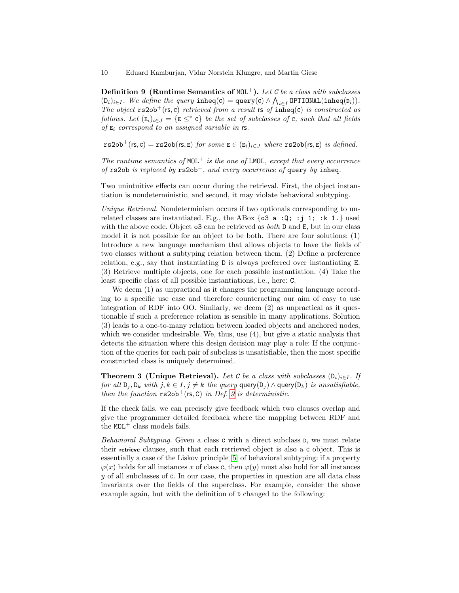10 Eduard Kamburjan, Vidar Norstein Klungre, and Martin Giese

**Definition 9** (Runtime Semantics of  $MOL<sup>+</sup>$ ). Let C be a class with subclasses  $(D_i)_{i \in I}$ . We define the query inheq(c) = query(c)  $\wedge \bigwedge_{i \in I}$  OPTIONAL(inheq( $D_i$ )). The object  $rs2ob^+(rs, c)$  retrieved from a result rs of inheq(c) is constructed as follows. Let  $(E_i)_{i\in J} = \{E \leq^* c\}$  be the set of subclasses of c, such that all fields of  $E_i$  correspond to an assigned variable in rs.

 $rs2ob^+(rs, c) = rs2ob(rs, E)$  for some  $E \in (E_i)_{i \in J}$  where  $rs2ob(rs, E)$  is defined.

The runtime semantics of  $MOL^+$  is the one of LMOL, except that every occurrence of rs2ob is replaced by  $rs2ob^+$ , and every occurrence of query by inheq.

Two unintuitive effects can occur during the retrieval. First, the object instantiation is nondeterministic, and second, it may violate behavioral subtyping.

Unique Retrieval. Nondeterminism occurs if two optionals corresponding to unrelated classes are instantiated. E.g., the ABox  $\{o3 \ a : Q; :j 1; :k 1.\}$  used with the above code. Object **03** can be retrieved as *both* D and E, but in our class model it is not possible for an object to be both. There are four solutions: (1) Introduce a new language mechanism that allows objects to have the fields of two classes without a subtyping relation between them. (2) Define a preference relation, e.g., say that instantiating D is always preferred over instantiating E. (3) Retrieve multiple objects, one for each possible instantiation. (4) Take the least specific class of all possible instantiations, i.e., here: C.

We deem (1) as unpractical as it changes the programming language according to a specific use case and therefore counteracting our aim of easy to use integration of RDF into OO. Similarly, we deem (2) as unpractical as it questionable if such a preference relation is sensible in many applications. Solution (3) leads to a one-to-many relation between loaded objects and anchored nodes, which we consider undesirable. We, thus, use  $(4)$ , but give a static analysis that detects the situation where this design decision may play a role: If the conjunction of the queries for each pair of subclass is unsatisfiable, then the most specific constructed class is uniquely determined.

**Theorem 3 (Unique Retrieval).** Let C be a class with subclasses  $(D_i)_{i \in I}$ . If for all  $D_i, D_k$  with  $j, k \in I, j \neq k$  the query query( $D_i$ )  $\wedge$  query( $D_k$ ) is unsatisfiable, then the function  $rs2ob+(rs, C)$  in Def. [9](#page-8-1) is deterministic.

If the check fails, we can precisely give feedback which two clauses overlap and give the programmer detailed feedback where the mapping between RDF and the MOL<sup>+</sup> class models fails.

Behavioral Subtyping. Given a class c with a direct subclass  $D$ , we must relate their retrieve clauses, such that each retrieved object is also a C object. This is essentially a case of the Liskov principle [\[5\]](#page-15-4) of behavioral subtyping: if a property  $\varphi(x)$  holds for all instances x of class c, then  $\varphi(y)$  must also hold for all instances y of all subclasses of C. In our case, the properties in question are all data class invariants over the fields of the superclass. For example, consider the above example again, but with the definition of D changed to the following: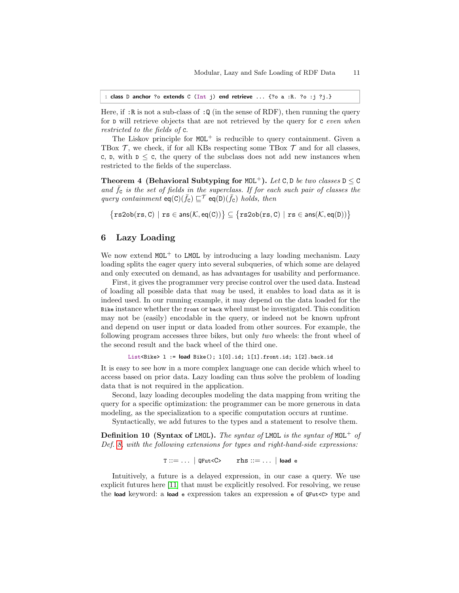1 class D anchor ?o extends C (Int j) end retrieve ... {?o a :R. ?o :j ?j.}

Here, if : R is not a sub-class of :  $\mathbb{Q}$  (in the sense of RDF), then running the query for p will retrieve objects that are not retrieved by the query for c even when restricted to the fields of C.

The Liskov principle for  $MOL<sup>+</sup>$  is reducible to query containment. Given a TBox  $\mathcal{T}$ , we check, if for all KBs respecting some TBox  $\mathcal{T}$  and for all classes, c, b, with  $p \leq c$ , the query of the subclass does not add new instances when restricted to the fields of the superclass.

Theorem 4 (Behavioral Subtyping for MOL<sup>+</sup>). Let C, D be two classes  $D \leq C$ and  $\bar{f}_c$  is the set of fields in the superclass. If for each such pair of classes the query containment  $eq(C)(\bar{f}_C) \sqsubseteq^{\mathcal{T}} eq(D)(\bar{f}_C)$  holds, then

 $\{rs2ob(rs, C) \mid rs \in ans(\mathcal{K}, eq(C))\} \subseteq \{rs2ob(rs, C) \mid rs \in ans(\mathcal{K}, eq(D))\}$ 

# <span id="page-10-0"></span>6 Lazy Loading

We now extend  $MOL<sup>+</sup>$  to LMOL by introducing a lazy loading mechanism. Lazy loading splits the eager query into several subqueries, of which some are delayed and only executed on demand, as has advantages for usability and performance.

First, it gives the programmer very precise control over the used data. Instead of loading all possible data that may be used, it enables to load data as it is indeed used. In our running example, it may depend on the data loaded for the Bike instance whether the front or back wheel must be investigated. This condition may not be (easily) encodable in the query, or indeed not be known upfront and depend on user input or data loaded from other sources. For example, the following program accesses three bikes, but only two wheels: the front wheel of the second result and the back wheel of the third one.

List<Bike> 1 := load Bike(); 1[0].id; 1[1].front.id; 1[2].back.id

It is easy to see how in a more complex language one can decide which wheel to access based on prior data. Lazy loading can thus solve the problem of loading data that is not required in the application.

Second, lazy loading decouples modeling the data mapping from writing the query for a specific optimization: the programmer can be more generous in data modeling, as the specialization to a specific computation occurs at runtime.

Syntactically, we add futures to the types and a statement to resolve them.

**Definition 10 (Syntax of LMOL).** The syntax of LMOL is the syntax of MOL<sup>+</sup> of Def. [8,](#page-8-2) with the following extensions for types and right-hand-side expressions:

 $T ::= ... |$  QFut< $C$ > rhs ::= ... | load e

Intuitively, a future is a delayed expression, in our case a query. We use explicit futures here [\[11\]](#page-15-10) that must be explicitly resolved. For resolving, we reuse the load keyword: a load e expression takes an expression e of QFut<C> type and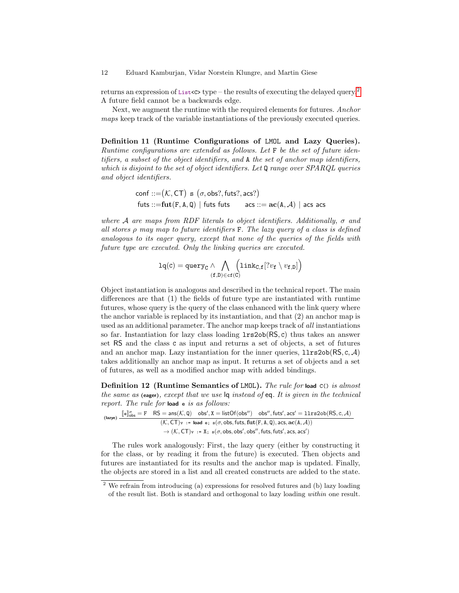12 Eduard Kamburjan, Vidar Norstein Klungre, and Martin Giese

returns an expression of List<C> type – the results of executing the delayed query.<sup>[2](#page-11-0)</sup> A future field cannot be a backwards edge.

Next, we augment the runtime with the required elements for futures. Anchor maps keep track of the variable instantiations of the previously executed queries.

Definition 11 (Runtime Configurations of LMOL and Lazy Queries). Runtime configurations are extended as follows. Let F be the set of future identifiers, a subset of the object identifiers, and A the set of anchor map identifiers, which is disjoint to the set of object identifiers. Let Q range over SPARQL queries and object identifiers.

> conf ::= $(\mathcal{K}, \mathsf{CT})$  s  $(\sigma, \mathsf{obs}?\mathsf{futs}?\mathsf{acs}?\mathsf{)}$ futs ::=fut(F, A, Q) | futs futs acs ::=  $ac(A, A)$  | acs acs

where A are maps from RDF literals to object identifiers. Additionally,  $\sigma$  and all stores  $\rho$  may map to future identifiers  $F$ . The lazy query of a class is defined analogous to its eager query, except that none of the queries of the fields with future type are executed. Only the linking queries are executed.

$$
\texttt{lq}(c) = \texttt{query}_C \wedge \bigwedge_{(f,D) \in \texttt{cf}(C)} \Bigl(\texttt{link}_{C,f}[\texttt{?}v_f \setminus v_{f,D}]\Bigr)
$$

Object instantiation is analogous and described in the technical report. The main differences are that (1) the fields of future type are instantiated with runtime futures, whose query is the query of the class enhanced with the link query where the anchor variable is replaced by its instantiation, and that (2) an anchor map is used as an additional parameter. The anchor map keeps track of all instantiations so far. Instantiation for lazy class loading  $lrs2ob(RS, c)$  thus takes an answer set RS and the class C as input and returns a set of objects, a set of futures and an anchor map. Lazy instantiation for the inner queries,  $11rs2ob(RS, c, \mathcal{A})$ takes additionally an anchor map as input. It returns a set of objects and a set of futures, as well as a modified anchor map with added bindings.

Definition 12 (Runtime Semantics of LMOL). The rule for load C() is almost the same as (eager), except that we use lq instead of eq. It is given in the technical report. The rule for load e is as follows:

(lazye)  $\frac{\lbrack\!\lbrack\bullet\rbrack\!\rbrack_{obs} = F \quad RS = ans(\mathcal{K}, \mathbb{Q}) \quad obs', X = listOf(obs'') \quad obs'', futs', asc' = 11rs2ob(RS, c, \mathcal{A})}{(\mathcal{K}, CT)_v := load e; s(\sigma, obs, futs, fut(F, A, \mathbb{Q}), asc, ac(A, \mathcal{A}))}$  $\rightarrow$   $(K, CT)v := X; s(\sigma, obs, obs', obs'', futs, futs', acs, acs')$ 

The rules work analogously: First, the lazy query (either by constructing it for the class, or by reading it from the future) is executed. Then objects and futures are instantiated for its results and the anchor map is updated. Finally, the objects are stored in a list and all created constructs are added to the state.

<span id="page-11-0"></span><sup>&</sup>lt;sup>2</sup> We refrain from introducing (a) expressions for resolved futures and (b) lazy loading of the result list. Both is standard and orthogonal to lazy loading within one result.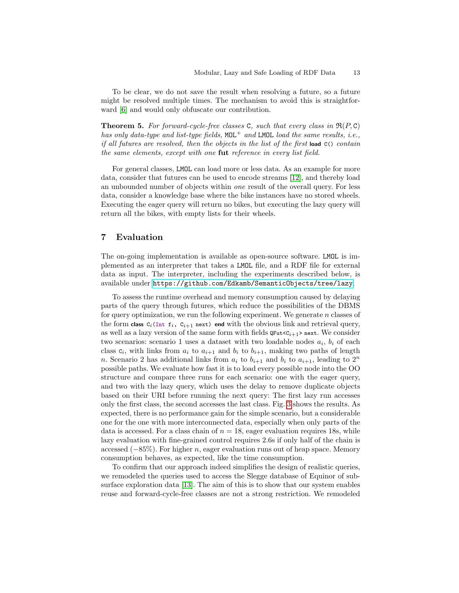To be clear, we do not save the result when resolving a future, so a future might be resolved multiple times. The mechanism to avoid this is straightforward [\[6\]](#page-15-5) and would only obfuscate our contribution.

**Theorem 5.** For forward-cycle-free classes C, such that every class in  $\mathfrak{R}(P, \mathcal{C})$ has only data-type and list-type fields,  $MOL^+$  and LMOL load the same results, i.e., if all futures are resolved, then the objects in the list of the first load C() contain the same elements, except with one fut reference in every list field.

For general classes, LMOL can load more or less data. As an example for more data, consider that futures can be used to encode streams [\[12\]](#page-15-11), and thereby load an unbounded number of objects within one result of the overall query. For less data, consider a knowledge base where the bike instances have no stored wheels. Executing the eager query will return no bikes, but executing the lazy query will return all the bikes, with empty lists for their wheels.

# <span id="page-12-0"></span>7 Evaluation

The on-going implementation is available as open-source software. LMOL is implemented as an interpreter that takes a LMOL file, and a RDF file for external data as input. The interpreter, including the experiments described below, is available under <https://github.com/Edkamb/SemanticObjects/tree/lazy>.

To assess the runtime overhead and memory consumption caused by delaying parts of the query through futures, which reduce the possibilities of the DBMS for query optimization, we run the following experiment. We generate  $n$  classes of the form class  $C_i$ (Int  $f_i$ ,  $C_{i+1}$  next) end with the obvious link and retrieval query, as well as a lazy version of the same form with fields  $QFut < C_{i+1}$  next. We consider two scenarios: scenario 1 uses a dataset with two loadable nodes  $a_i, b_i$  of each class  $c_i$ , with links from  $a_i$  to  $a_{i+1}$  and  $b_i$  to  $b_{i+1}$ , making two paths of length n. Scenario 2 has additional links from  $a_i$  to  $b_{i+1}$  and  $b_i$  to  $a_{i+1}$ , leading to  $2^n$ possible paths. We evaluate how fast it is to load every possible node into the OO structure and compare three runs for each scenario: one with the eager query, and two with the lazy query, which uses the delay to remove duplicate objects based on their URI before running the next query: The first lazy run accesses only the first class, the second accesses the last class. Fig. [3](#page-13-1) shows the results. As expected, there is no performance gain for the simple scenario, but a considerable one for the one with more interconnected data, especially when only parts of the data is accessed. For a class chain of  $n = 18$ , eager evaluation requires 18s, while lazy evaluation with fine-grained control requires 2.6s if only half of the chain is accessed  $(-85\%)$ . For higher n, eager evaluation runs out of heap space. Memory consumption behaves, as expected, like the time consumption.

To confirm that our approach indeed simplifies the design of realistic queries, we remodeled the queries used to access the Slegge database of Equinor of subsurface exploration data [\[13\]](#page-15-12). The aim of this is to show that our system enables reuse and forward-cycle-free classes are not a strong restriction. We remodeled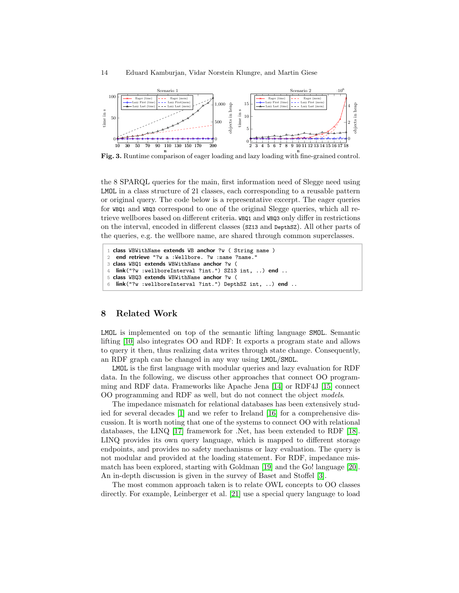

<span id="page-13-1"></span>**Fig. 3.** Runtime comparison of eager loading and lazy loading with fine-grained control.

the 8 SPARQL queries for the main, first information need of Slegge need using LMOL in a class structure of 21 classes, each corresponding to a reusable pattern or original query. The code below is a representative excerpt. The eager queries for WBQ1 and WBQ3 correspond to one of the original Slegge queries, which all retrieve wellbores based on different criteria. WBQ1 and WBQ3 only differ in restrictions on the interval, encoded in different classes (SZ13 and DepthSZ). All other parts of the queries, e.g. the wellbore name, are shared through common superclasses.

```
class WBWithName extends WB anchor ?w ( String name )
2 end retrieve "?w a :Wellbore. ?w :name ?name."
3 class WBQ1 extends WBWithName anchor ?w (
  link("?w :wellboreInterval ?int.") SZ13 int, ..) end ..
5 class WBQ3 extends WBWithName anchor ?w (
  link("?w :wellboreInterval ?int.") DepthSZ int, ..) end ..
```
# <span id="page-13-0"></span>8 Related Work

LMOL is implemented on top of the semantic lifting language SMOL. Semantic lifting [\[10\]](#page-15-9) also integrates OO and RDF: It exports a program state and allows to query it then, thus realizing data writes through state change. Consequently, an RDF graph can be changed in any way using LMOL/SMOL.

LMOL is the first language with modular queries and lazy evaluation for RDF data. In the following, we discuss other approaches that connect OO programming and RDF data. Frameworks like Apache Jena [\[14\]](#page-15-13) or RDF4J [\[15\]](#page-15-14) connect OO programming and RDF as well, but do not connect the object models.

The impedance mismatch for relational databases has been extensively studied for several decades [\[1\]](#page-15-0) and we refer to Ireland [\[16\]](#page-15-15) for a comprehensive discussion. It is worth noting that one of the systems to connect OO with relational databases, the LINQ [\[17\]](#page-15-16) framework for .Net, has been extended to RDF [\[18\]](#page-15-17). LINQ provides its own query language, which is mapped to different storage endpoints, and provides no safety mechanisms or lazy evaluation. The query is not modular and provided at the loading statement. For RDF, impedance mismatch has been explored, starting with Goldman [\[19\]](#page-15-18) and the Go! language [\[20\]](#page-15-19). An in-depth discussion is given in the survey of Baset and Stoffel [\[3\]](#page-15-2).

The most common approach taken is to relate OWL concepts to OO classes directly. For example, Leinberger et al. [\[21\]](#page-16-0) use a special query language to load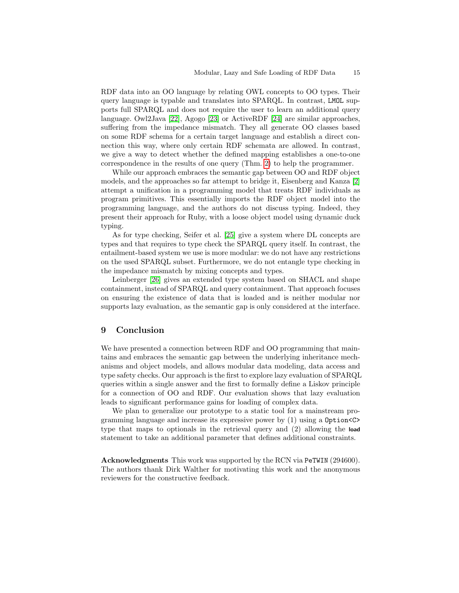RDF data into an OO language by relating OWL concepts to OO types. Their query language is typable and translates into SPARQL. In contrast, LMOL supports full SPARQL and does not require the user to learn an additional query language. Owl2Java [\[22\]](#page-16-1), Agogo [\[23\]](#page-16-2) or ActiveRDF [\[24\]](#page-16-3) are similar approaches, suffering from the impedance mismatch. They all generate OO classes based on some RDF schema for a certain target language and establish a direct connection this way, where only certain RDF schemata are allowed. In contrast, we give a way to detect whether the defined mapping establishes a one-to-one correspondence in the results of one query (Thm. [2\)](#page-7-0) to help the programmer.

While our approach embraces the semantic gap between OO and RDF object models, and the approaches so far attempt to bridge it, Eisenberg and Kanza [\[2\]](#page-15-1) attempt a unification in a programming model that treats RDF individuals as program primitives. This essentially imports the RDF object model into the programming language, and the authors do not discuss typing. Indeed, they present their approach for Ruby, with a loose object model using dynamic duck typing.

As for type checking, Seifer et al. [\[25\]](#page-16-4) give a system where DL concepts are types and that requires to type check the SPARQL query itself. In contrast, the entailment-based system we use is more modular: we do not have any restrictions on the used SPARQL subset. Furthermore, we do not entangle type checking in the impedance mismatch by mixing concepts and types.

Leinberger [\[26\]](#page-16-5) gives an extended type system based on SHACL and shape containment, instead of SPARQL and query containment. That approach focuses on ensuring the existence of data that is loaded and is neither modular nor supports lazy evaluation, as the semantic gap is only considered at the interface.

#### 9 Conclusion

We have presented a connection between RDF and OO programming that maintains and embraces the semantic gap between the underlying inheritance mechanisms and object models, and allows modular data modeling, data access and type safety checks. Our approach is the first to explore lazy evaluation of SPARQL queries within a single answer and the first to formally define a Liskov principle for a connection of OO and RDF. Our evaluation shows that lazy evaluation leads to significant performance gains for loading of complex data.

We plan to generalize our prototype to a static tool for a mainstream programming language and increase its expressive power by (1) using a Option<C> type that maps to optionals in the retrieval query and (2) allowing the load statement to take an additional parameter that defines additional constraints.

Acknowledgments This work was supported by the RCN via PeTWIN (294600). The authors thank Dirk Walther for motivating this work and the anonymous reviewers for the constructive feedback.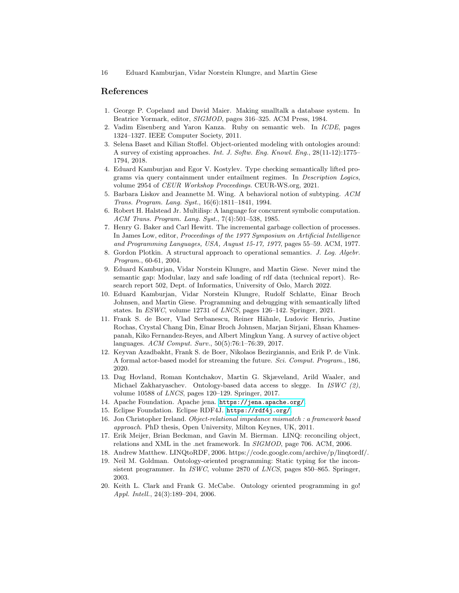### References

- <span id="page-15-0"></span>1. George P. Copeland and David Maier. Making smalltalk a database system. In Beatrice Yormark, editor, SIGMOD, pages 316–325. ACM Press, 1984.
- <span id="page-15-1"></span>2. Vadim Eisenberg and Yaron Kanza. Ruby on semantic web. In ICDE, pages 1324–1327. IEEE Computer Society, 2011.
- <span id="page-15-2"></span>3. Selena Baset and Kilian Stoffel. Object-oriented modeling with ontologies around: A survey of existing approaches. Int. J. Softw. Eng. Knowl. Eng., 28(11-12):1775– 1794, 2018.
- <span id="page-15-3"></span>4. Eduard Kamburjan and Egor V. Kostylev. Type checking semantically lifted programs via query containment under entailment regimes. In Description Logics, volume 2954 of CEUR Workshop Proceedings. CEUR-WS.org, 2021.
- <span id="page-15-4"></span>5. Barbara Liskov and Jeannette M. Wing. A behavioral notion of subtyping. ACM Trans. Program. Lang. Syst., 16(6):1811–1841, 1994.
- <span id="page-15-5"></span>6. Robert H. Halstead Jr. Multilisp: A language for concurrent symbolic computation. ACM Trans. Program. Lang. Syst., 7(4):501–538, 1985.
- <span id="page-15-6"></span>7. Henry G. Baker and Carl Hewitt. The incremental garbage collection of processes. In James Low, editor, Proceedings of the 1977 Symposium on Artificial Intelligence and Programming Languages, USA, August 15-17, 1977, pages 55–59. ACM, 1977.
- <span id="page-15-7"></span>8. Gordon Plotkin. A structural approach to operational semantics. J. Log. Algebr. Program., 60-61, 2004.
- <span id="page-15-8"></span>9. Eduard Kamburjan, Vidar Norstein Klungre, and Martin Giese. Never mind the semantic gap: Modular, lazy and safe loading of rdf data (technical report). Research report 502, Dept. of Informatics, University of Oslo, March 2022.
- <span id="page-15-9"></span>10. Eduard Kamburjan, Vidar Norstein Klungre, Rudolf Schlatte, Einar Broch Johnsen, and Martin Giese. Programming and debugging with semantically lifted states. In ESWC, volume 12731 of LNCS, pages 126–142. Springer, 2021.
- <span id="page-15-10"></span>11. Frank S. de Boer, Vlad Serbanescu, Reiner Hähnle, Ludovic Henrio, Justine Rochas, Crystal Chang Din, Einar Broch Johnsen, Marjan Sirjani, Ehsan Khamespanah, Kiko Fernandez-Reyes, and Albert Mingkun Yang. A survey of active object languages. ACM Comput. Surv., 50(5):76:1–76:39, 2017.
- <span id="page-15-11"></span>12. Keyvan Azadbakht, Frank S. de Boer, Nikolaos Bezirgiannis, and Erik P. de Vink. A formal actor-based model for streaming the future. Sci. Comput. Program., 186, 2020.
- <span id="page-15-12"></span>13. Dag Hovland, Roman Kontchakov, Martin G. Skjæveland, Arild Waaler, and Michael Zakharyaschev. Ontology-based data access to slegge. In  $ISWC(2)$ , volume 10588 of LNCS, pages 120–129. Springer, 2017.
- <span id="page-15-13"></span>14. Apache Foundation. Apache jena. <https://jena.apache.org/>.
- <span id="page-15-14"></span>15. Eclipse Foundation. Eclipse RDF4J. <https://rdf4j.org/>.
- <span id="page-15-15"></span>16. Jon Christopher Ireland. Object-relational impedance mismatch : a framework based approach. PhD thesis, Open University, Milton Keynes, UK, 2011.
- <span id="page-15-16"></span>17. Erik Meijer, Brian Beckman, and Gavin M. Bierman. LINQ: reconciling object, relations and XML in the .net framework. In SIGMOD, page 706. ACM, 2006.
- <span id="page-15-17"></span>18. Andrew Matthew. LINQtoRDF, 2006. https://code.google.com/archive/p/linqtordf/.
- <span id="page-15-18"></span>19. Neil M. Goldman. Ontology-oriented programming: Static typing for the inconsistent programmer. In ISWC, volume 2870 of LNCS, pages 850–865. Springer, 2003.
- <span id="page-15-19"></span>20. Keith L. Clark and Frank G. McCabe. Ontology oriented programming in go! Appl. Intell., 24(3):189–204, 2006.